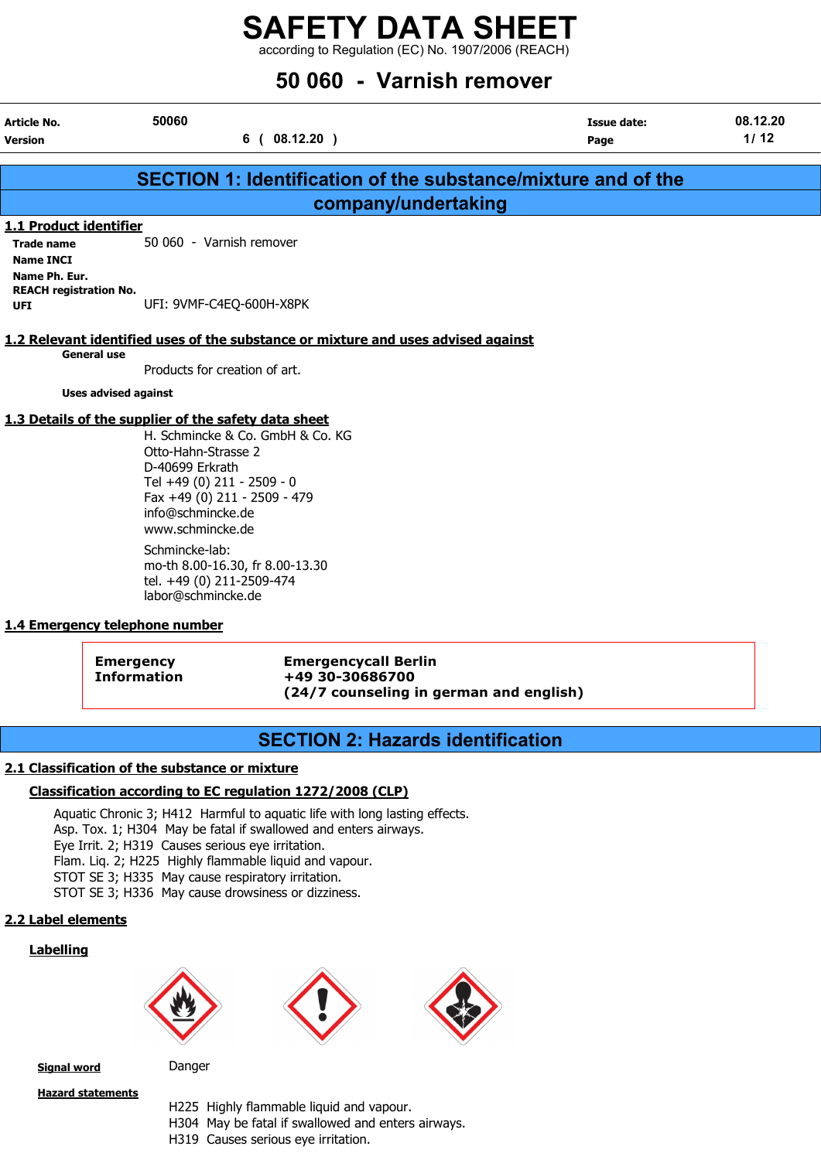according to Regulation (EC) No. 1907/2006 (REACH)

## 50 060 - Varnish remover

| Article No.                                 | 50060                                                                                                                                                                                                                                                                                                                                                                                      | <b>Issue date:</b> | 08.12.20 |
|---------------------------------------------|--------------------------------------------------------------------------------------------------------------------------------------------------------------------------------------------------------------------------------------------------------------------------------------------------------------------------------------------------------------------------------------------|--------------------|----------|
| <b>Version</b>                              | $08.12.20$ )<br>6 (                                                                                                                                                                                                                                                                                                                                                                        | Page               | 1/12     |
|                                             |                                                                                                                                                                                                                                                                                                                                                                                            |                    |          |
|                                             | SECTION 1: Identification of the substance/mixture and of the                                                                                                                                                                                                                                                                                                                              |                    |          |
|                                             | company/undertaking                                                                                                                                                                                                                                                                                                                                                                        |                    |          |
| 1.1 Product identifier                      |                                                                                                                                                                                                                                                                                                                                                                                            |                    |          |
| <b>Trade name</b>                           | 50 060 - Varnish remover                                                                                                                                                                                                                                                                                                                                                                   |                    |          |
| <b>Name INCI</b>                            |                                                                                                                                                                                                                                                                                                                                                                                            |                    |          |
| Name Ph. Eur.                               |                                                                                                                                                                                                                                                                                                                                                                                            |                    |          |
| <b>REACH registration No.</b><br><b>UFI</b> | UFI: 9VMF-C4EQ-600H-X8PK                                                                                                                                                                                                                                                                                                                                                                   |                    |          |
|                                             |                                                                                                                                                                                                                                                                                                                                                                                            |                    |          |
|                                             | 1.2 Relevant identified uses of the substance or mixture and uses advised against                                                                                                                                                                                                                                                                                                          |                    |          |
| General use                                 |                                                                                                                                                                                                                                                                                                                                                                                            |                    |          |
|                                             | Products for creation of art.                                                                                                                                                                                                                                                                                                                                                              |                    |          |
| <b>Uses advised against</b>                 |                                                                                                                                                                                                                                                                                                                                                                                            |                    |          |
|                                             | 1.3 Details of the supplier of the safety data sheet<br>$\mathbf{u}$ $\mathbf{v}$ $\mathbf{v}$ $\mathbf{v}$ $\mathbf{v}$ $\mathbf{v}$ $\mathbf{v}$ $\mathbf{v}$ $\mathbf{v}$ $\mathbf{v}$ $\mathbf{v}$ $\mathbf{v}$ $\mathbf{v}$ $\mathbf{v}$ $\mathbf{v}$ $\mathbf{v}$ $\mathbf{v}$ $\mathbf{v}$ $\mathbf{v}$ $\mathbf{v}$ $\mathbf{v}$ $\mathbf{v}$ $\mathbf{v}$ $\mathbf{v}$ $\mathbf{$ |                    |          |

H. Schmincke & Co. GmbH & Co. KG Otto-Hahn-Strasse 2 D-40699 Erkrath Tel +49 (0) 211 - 2509 - 0 Fax +49 (0) 211 - 2509 - 479 info@schmincke.de www.schmincke.de Schmincke-lab: mo-th 8.00-16.30, fr 8.00-13.30 tel. +49 (0) 211-2509-474 labor@schmincke.de

## 1.4 Emergency telephone number

Emergency Emergencycall Berlin Information +49 30-30686700 (24/7 counseling in german and english)

## SECTION 2: Hazards identification

## 2.1 Classification of the substance or mixture

## Classification according to EC regulation 1272/2008 (CLP)

Aquatic Chronic 3; H412 Harmful to aquatic life with long lasting effects. Asp. Tox. 1; H304 May be fatal if swallowed and enters airways. Eye Irrit. 2; H319 Causes serious eye irritation. Flam. Liq. 2; H225 Highly flammable liquid and vapour. STOT SE 3; H335 May cause respiratory irritation. STOT SE 3; H336 May cause drowsiness or dizziness.

## 2.2 Label elements

## **Labelling**







Signal word Danger

Hazard statements

H225 Highly flammable liquid and vapour. H304 May be fatal if swallowed and enters airways. H319 Causes serious eye irritation.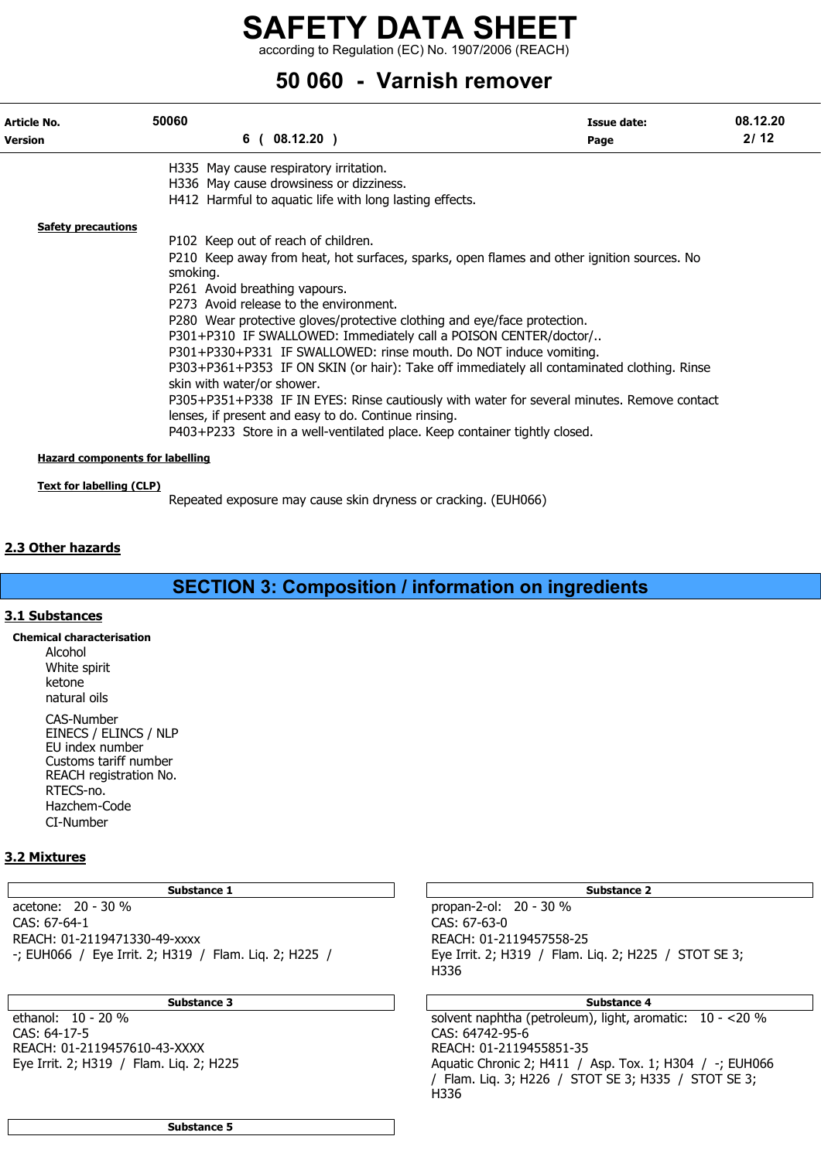according to Regulation (EC) No. 1907/2006 (REACH)

## 50 060 - Varnish remover

| Article No.<br><b>Version</b>                                             | 50060                                                                   | 6(08.12.20)                                                                                                                                                                                                                                                                                                                                                                                                                                                                                                | Issue date:<br>Page                                                                                                                                                                                                                                                                    | 08.12.20<br>2/12 |
|---------------------------------------------------------------------------|-------------------------------------------------------------------------|------------------------------------------------------------------------------------------------------------------------------------------------------------------------------------------------------------------------------------------------------------------------------------------------------------------------------------------------------------------------------------------------------------------------------------------------------------------------------------------------------------|----------------------------------------------------------------------------------------------------------------------------------------------------------------------------------------------------------------------------------------------------------------------------------------|------------------|
| <b>Safety precautions</b>                                                 | smoking.<br>P261 Avoid breathing vapours.<br>skin with water/or shower. | H335 May cause respiratory irritation.<br>H336 May cause drowsiness or dizziness.<br>H412 Harmful to aquatic life with long lasting effects.<br>P102 Keep out of reach of children.<br>P273 Avoid release to the environment.<br>P280 Wear protective gloves/protective clothing and eye/face protection.<br>P301+P310 IF SWALLOWED: Immediately call a POISON CENTER/doctor/<br>P301+P330+P331 IF SWALLOWED: rinse mouth. Do NOT induce vomiting.<br>lenses, if present and easy to do. Continue rinsing. | P210 Keep away from heat, hot surfaces, sparks, open flames and other ignition sources. No<br>P303+P361+P353 IF ON SKIN (or hair): Take off immediately all contaminated clothing. Rinse<br>P305+P351+P338 IF IN EYES: Rinse cautiously with water for several minutes. Remove contact |                  |
| <b>Hazard components for labelling</b><br><b>Text for labelling (CLP)</b> |                                                                         | P403+P233 Store in a well-ventilated place. Keep container tightly closed.                                                                                                                                                                                                                                                                                                                                                                                                                                 |                                                                                                                                                                                                                                                                                        |                  |

Repeated exposure may cause skin dryness or cracking. (EUH066)

## 2.3 Other hazards

## SECTION 3: Composition / information on ingredients

## 3.1 Substances

Chemical characterisation

Alcohol White spirit ketone natural oils

CAS-Number EINECS / ELINCS / NLP EU index number Customs tariff number REACH registration No. RTECS-no. Hazchem-Code CI-Number

## 3.2 Mixtures

acetone: 20 - 30 % propan-2-ol: 20 - 30 % CAS: 67-64-1 CAS: 67-63-0 REACH: 01-2119471330-49-xxxx REACH: 01-2119457558-25 -; EUH066 / Eye Irrit. 2; H319 / Flam. Liq. 2; H225 / Eye Irrit. 2; H319 / Flam. Liq. 2; H225 / STOT SE 3;

CAS: 64-17-5 CAS: 64742-95-6 REACH: 01-2119457610-43-XXXX<br>Eye Irrit. 2; H319 / Flam. Liq. 2; H225

Substance 1 and 1 Substance 2 and 1 Substance 2 and 1 Substance 2 and 2 Substance 2 and 2 Substance 2 and 2 Substance 2 and 2 Substance 2 and 2 Substance 2 and 2 Substance 2 and 2 Substance 2 and 2 Substance 2 and 2 Substa

H336

## Substance 3 **Substance 4** Substance 4 **Substance 4** Substance 4

ethanol: 10 - 20 % Aquatic Chronic 2; H411 / Asp. Tox. 1; H304 / -; EUH066 / Flam. Liq. 3; H226 / STOT SE 3; H335 / STOT SE 3; H336

Substance 5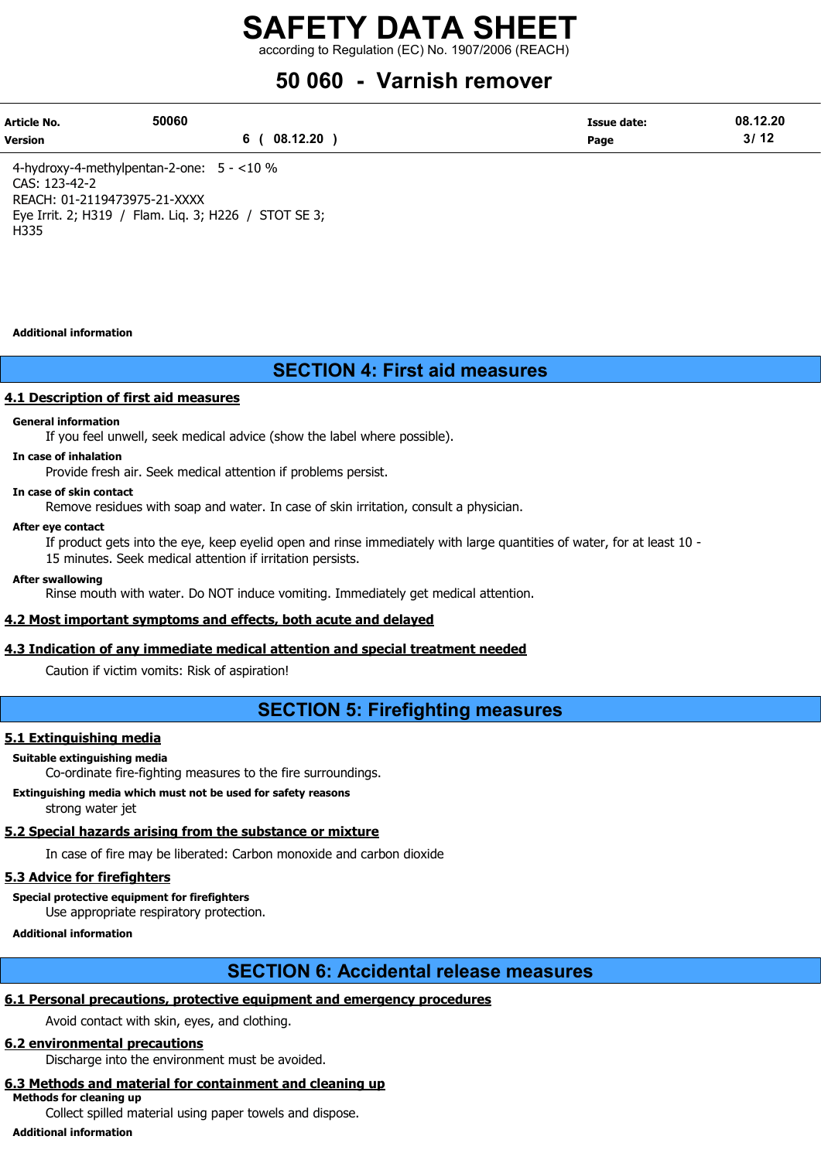according to Regulation (EC) No. 1907/2006 (REACH)

## 50 060 - Varnish remover

| Article No.    | 50060    | Issue date: | 08.12.20          |
|----------------|----------|-------------|-------------------|
| <b>Version</b> | 08.12.20 | Page        | 214<br>J۱<br>- 14 |

4-hydroxy-4-methylpentan-2-one: 5 - <10 % CAS: 123-42-2 REACH: 01-2119473975-21-XXXX Eye Irrit. 2; H319 / Flam. Liq. 3; H226 / STOT SE 3; H335

#### Additional information

## SECTION 4: First aid measures

## 4.1 Description of first aid measures

### General information

If you feel unwell, seek medical advice (show the label where possible).

#### In case of inhalation

Provide fresh air. Seek medical attention if problems persist.

#### In case of skin contact

Remove residues with soap and water. In case of skin irritation, consult a physician.

#### After eye contact

If product gets into the eye, keep eyelid open and rinse immediately with large quantities of water, for at least 10 - 15 minutes. Seek medical attention if irritation persists.

#### After swallowing

Rinse mouth with water. Do NOT induce vomiting. Immediately get medical attention.

## 4.2 Most important symptoms and effects, both acute and delayed

## 4.3 Indication of any immediate medical attention and special treatment needed

Caution if victim vomits: Risk of aspiration!

## SECTION 5: Firefighting measures

## 5.1 Extinguishing media

#### Suitable extinguishing media

Co-ordinate fire-fighting measures to the fire surroundings.

Extinguishing media which must not be used for safety reasons strong water jet

## 5.2 Special hazards arising from the substance or mixture

In case of fire may be liberated: Carbon monoxide and carbon dioxide

## 5.3 Advice for firefighters

Special protective equipment for firefighters

Use appropriate respiratory protection.

Additional information

## SECTION 6: Accidental release measures

## 6.1 Personal precautions, protective equipment and emergency procedures

Avoid contact with skin, eyes, and clothing.

## 6.2 environmental precautions

Discharge into the environment must be avoided.

## 6.3 Methods and material for containment and cleaning up

Methods for cleaning up

Collect spilled material using paper towels and dispose.

Additional information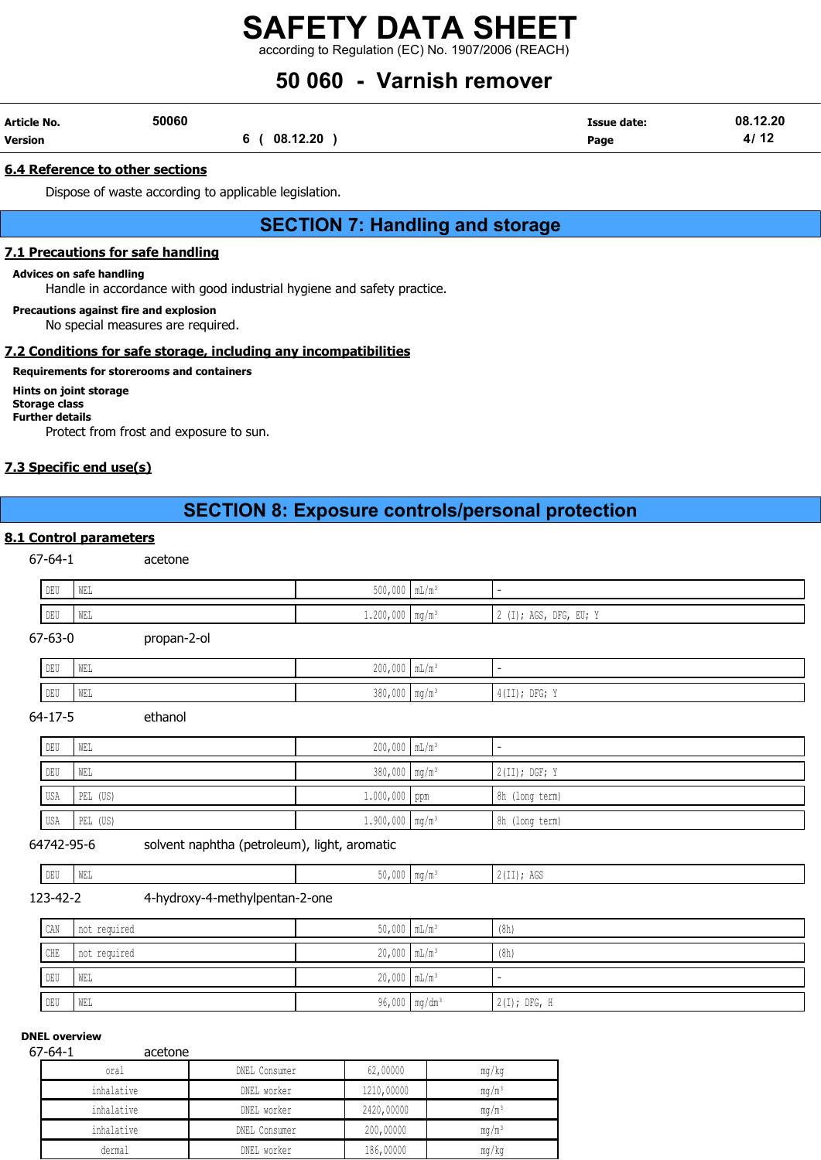according to Regulation (EC) No. 1907/2006 (REACH)

## 50 060 - Varnish remover

| Article No. | 50060 |          | Issue date: | 08.12.20      |
|-------------|-------|----------|-------------|---------------|
| Version     |       | 08.12.20 | Page        | $4/1^{\circ}$ |

## 6.4 Reference to other sections

Dispose of waste according to applicable legislation.

## SECTION 7: Handling and storage

## 7.1 Precautions for safe handling

#### Advices on safe handling

Handle in accordance with good industrial hygiene and safety practice.

Precautions against fire and explosion No special measures are required.

## 7.2 Conditions for safe storage, including any incompatibilities

## Requirements for storerooms and containers

Hints on joint storage Storage class Further details Protect from frost and exposure to sun.

## 7.3 Specific end use(s)

## SECTION 8: Exposure controls/personal protection

## 8.1 Control parameters

67-64-1 acetone

| $DEU$ | WEL | $500,000$ $mL/m^3$            |                          |
|-------|-----|-------------------------------|--------------------------|
| DEU   | WEL | $1.200,000$ mg/m <sup>3</sup> | $2$ (I); AGS, DFG, EU; Y |

67-63-0 propan-2-ol

| DELL<br>∥ ∪≞∪ | WEL | $200,000$ mL/m <sup>3</sup>                               |                              |                                                                                             |
|---------------|-----|-----------------------------------------------------------|------------------------------|---------------------------------------------------------------------------------------------|
| DEU           | WEL | 200<br>$\sim$ $\sim$ $\sim$<br>nnn<br>J∪∪1 ∩∩∩ Illin Illi | $\mathbf{m} \sim \mathbf{m}$ | TI); DFG;<br>$\lambda$ $\lambda$ $\lambda$ $\lambda$ $\lambda$<br>77<br>$+$ $+$ $+$ $+$ $+$ |

64-17-5 ethanol

| DEU | I WEL    | $200,000$ $mL/m^3$        | -               |
|-----|----------|---------------------------|-----------------|
| DEU | WEL      | 380,000 mg/m <sup>3</sup> | $2(II);$ DGF; Y |
| USA | PEL (US) | $1.000,000$ ppm           | 8h (long term)  |

## 64742-95-6 solvent naphtha (petroleum), light, aromatic

| <b>DRIT</b><br>$\blacksquare$<br>$\cdots$<br>$\overline{a}$<br>AGS<br>ים ע<br>77 E 1<br>1 + + 1<br>$\sim$ |  |  |  |
|-----------------------------------------------------------------------------------------------------------|--|--|--|
|                                                                                                           |  |  |  |

USA PEL (US) 1.900,000 mg/m³ 8h (long term)

123-42-2 4-hydroxy-4-methylpentan-2-one

| CAN | not required | $50,000$ $mL/m^3$           | (8h)           |
|-----|--------------|-----------------------------|----------------|
| CHE | not required | $20,000$ $mL/m^3$           | (8h)           |
| DEU | WEL          | $20,000$ $mL/m^3$           |                |
| DEU | WEL          | $96,000$ mg/dm <sup>3</sup> | $2(I);$ DFG, H |

## DNEL overview

67-64-1 acetone

| oral       | DNEL Consumer | 62,00000   | mg/kg    |
|------------|---------------|------------|----------|
| inhalative | DNEL worker   | 1210,00000 | $mq/m^3$ |
| inhalative | DNEL worker   | 2420,00000 | $mq/m^3$ |
| inhalative | DNEL Consumer | 200,00000  | $mq/m^3$ |
| dermal     | DNEL worker   | 186,00000  | mq/kg    |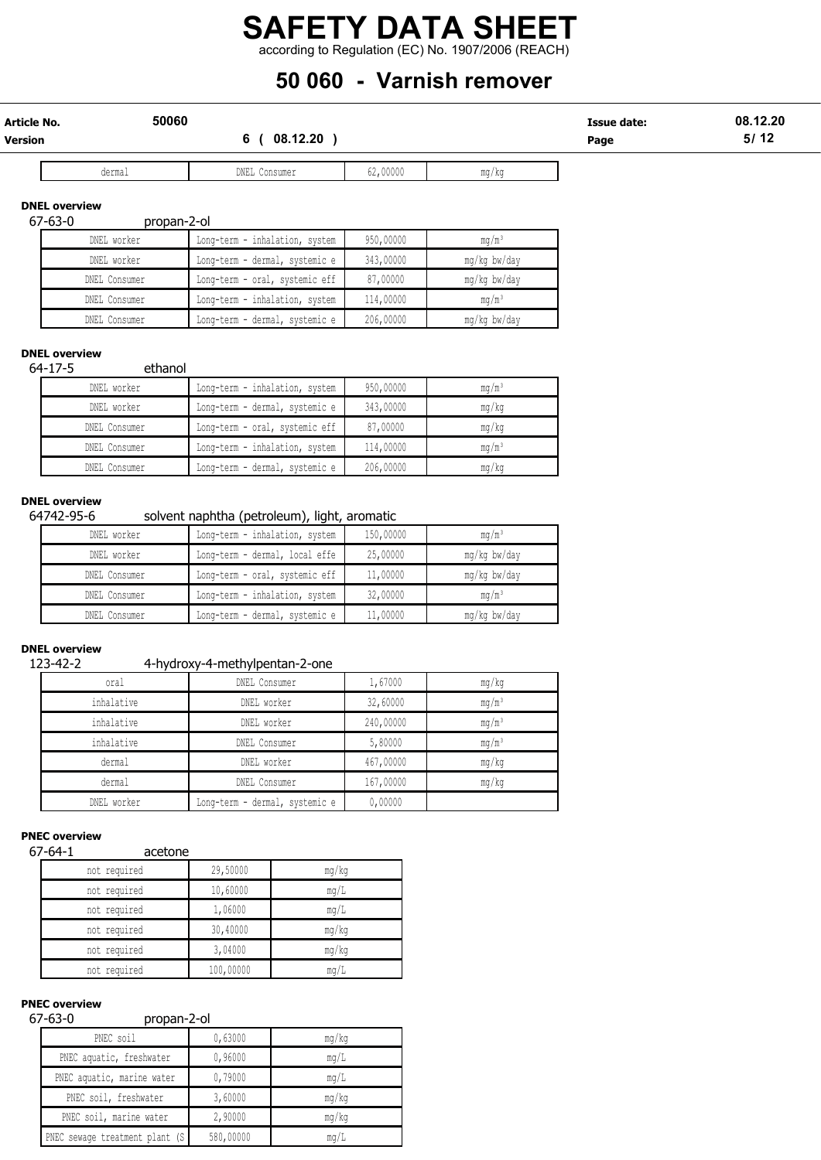according to Regulation (EC) No. 1907/2006 (REACH)

## 50 060 - Varnish remover

| Article No. | 50060         | Issue date: | 08.12.20  |
|-------------|---------------|-------------|-----------|
| Version     | .12.20<br>ng. | Page        | 5/17<br>. |
|             |               |             |           |

dermal DNEL Consumer 62,00000 mg/kg

## DNEL overview

## 67-63-0 propan-2-ol

| DNEL worker   | Long-term - inhalation, system | 950,00000 | $mq/m^3$     |
|---------------|--------------------------------|-----------|--------------|
| DNEL worker   | Long-term - dermal, systemic e | 343,00000 | mg/kg bw/day |
| DNEL Consumer | Long-term - oral, systemic eff | 87,00000  | mg/kg bw/day |
| DNEL Consumer | Long-term - inhalation, system | 114,00000 | $mq/m^3$     |
| DNEL Consumer | Long-term - dermal, systemic e | 206,00000 | mg/kg bw/day |

## DNEL overview

64-17-5 ethanol

| DNEL worker   | Long-term - inhalation, system | 950,00000 | $mq/m^3$ |
|---------------|--------------------------------|-----------|----------|
| DNEL worker   | Long-term - dermal, systemic e | 343,00000 | mq/kg    |
| DNEL Consumer | Long-term - oral, systemic eff | 87,00000  | mg/kg    |
| DNEL Consumer | Long-term - inhalation, system | 114,00000 | $mq/m^3$ |
| DNEL Consumer | Long-term - dermal, systemic e | 206,00000 | mg/kg    |

## DNEL overview

## 64742-95-6 solvent naphtha (petroleum), light, aromatic

| DNEL worker   | Long-term - inhalation, system | 150,00000 | mq/m <sup>3</sup> |
|---------------|--------------------------------|-----------|-------------------|
| DNEL worker   | Long-term - dermal, local effe | 25,00000  | mg/kg bw/day      |
| DNEL Consumer | Long-term - oral, systemic eff | 11,00000  | mg/kg bw/day      |
| DNEL Consumer | Long-term - inhalation, system | 32,00000  | $mq/m^3$          |
| DNEL Consumer | Long-term - dermal, systemic e | 11,00000  | mg/kg bw/day      |

### DNEL overview

## 123-42-2 4-hydroxy-4-methylpentan-2-one

| oral        | . .<br>DNEL Consumer           | 1,67000   | mg/kg             |
|-------------|--------------------------------|-----------|-------------------|
| inhalative  | DNEL worker                    | 32,60000  | $mg/m^3$          |
| inhalative  | DNEL worker                    | 240,00000 | $mg/m^3$          |
| inhalative  | DNEL Consumer                  | 5,80000   | mg/m <sup>3</sup> |
| dermal      | DNEL worker                    | 467,00000 | mg/kg             |
| dermal      | DNEL Consumer                  | 167,00000 | mg/kg             |
| DNEL worker | Long-term - dermal, systemic e | 0,00000   |                   |

## PNEC overview

## 67-64-1 acetone

| not required | 29,50000  | mq/kg |
|--------------|-----------|-------|
| not required | 10,60000  | mq/L  |
| not required | 1,06000   | mq/L  |
| not required | 30,40000  | mq/kg |
| not required | 3,04000   | mg/kg |
| not required | 100,00000 | mg/L  |

## PNEC overview

## 67-63-0 propan-2-ol

| PNEC soil                       | 0,63000   | mq/kg |
|---------------------------------|-----------|-------|
| PNEC aquatic, freshwater        | 0,96000   | mq/L  |
| PNEC aquatic, marine water      | 0,79000   | mq/L  |
| PNEC soil, freshwater           | 3,60000   | mq/kg |
| PNEC soil, marine water         | 2,90000   | mq/kg |
| PNEC sewage treatment plant (S) | 580,00000 | mq/L  |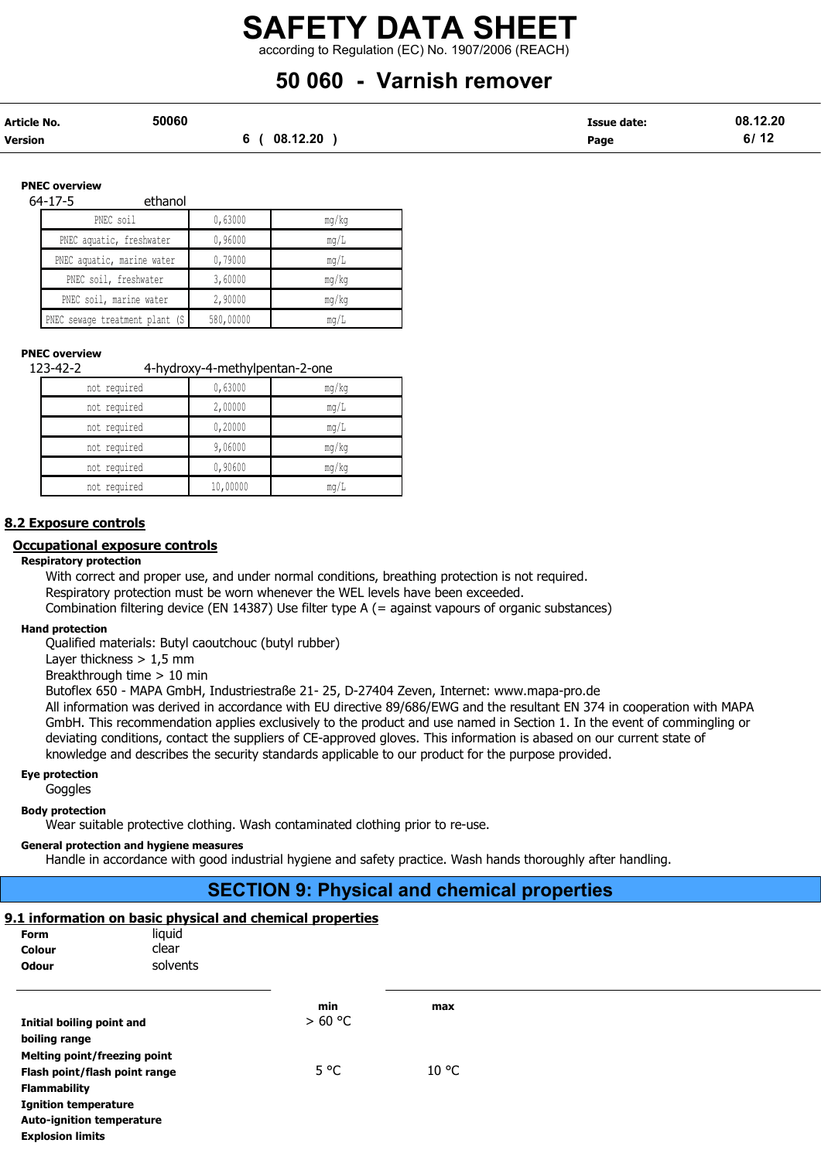according to Regulation (EC) No. 1907/2006 (REACH)

## 50 060 - Varnish remover

| Article No. | 50060    | <b>Issue date:</b> | 08.12.20 |
|-------------|----------|--------------------|----------|
| Version     | 08.12.20 | Page               | 6/12     |

#### PNEC overview

64-17-5 ethanol

| PNEC soil                       | 0,63000   | mg/kg |
|---------------------------------|-----------|-------|
| PNEC aquatic, freshwater        | 0,96000   | mq/L  |
| PNEC aquatic, marine water      | 0,79000   | mq/L  |
| PNEC soil, freshwater           | 3,60000   | mq/kg |
| PNEC soil, marine water         | 2,90000   | mq/kg |
| PNEC sewage treatment plant (S) | 580,00000 | mq/L  |

## PNEC overview

123-42-2 4-hydroxy-4-methylpentan-2-one not required 0,63000 mg/kg not required 2,00000 mg/L not required 0,20000 mg/L not required 9,06000 mg/kg

not required 1 0,90600 mg/kg not required 10,00000 mg/L

## 8.2 Exposure controls

#### Occupational exposure controls

#### Respiratory protection

With correct and proper use, and under normal conditions, breathing protection is not required. Respiratory protection must be worn whenever the WEL levels have been exceeded. Combination filtering device (EN 14387) Use filter type A (= against vapours of organic substances)

## Hand protection

Qualified materials: Butyl caoutchouc (butyl rubber)

Layer thickness  $> 1.5$  mm

Breakthrough time > 10 min

Butoflex 650 - MAPA GmbH, Industriestraße 21- 25, D-27404 Zeven, Internet: www.mapa-pro.de All information was derived in accordance with EU directive 89/686/EWG and the resultant EN 374 in cooperation with MAPA

GmbH. This recommendation applies exclusively to the product and use named in Section 1. In the event of commingling or deviating conditions, contact the suppliers of CE-approved gloves. This information is abased on our current state of knowledge and describes the security standards applicable to our product for the purpose provided.

#### Eye protection

Goggles

#### Body protection

Wear suitable protective clothing. Wash contaminated clothing prior to re-use.

#### General protection and hygiene measures

Handle in accordance with good industrial hygiene and safety practice. Wash hands thoroughly after handling.

## SECTION 9: Physical and chemical properties

## 9.1 information on basic physical and chemical properties

| <b>Form</b><br>Colour<br>Odour                                                 | liquid<br>clear<br>solvents |                |     |
|--------------------------------------------------------------------------------|-----------------------------|----------------|-----|
| Initial boiling point and                                                      |                             | min<br>> 60 °C | max |
| boiling range<br>Melting point/freezing point<br>Flash point/flash point range |                             | 5 °C           | °C  |

Auto-ignition temperature Explosion limits

Ignition temperature

Flammability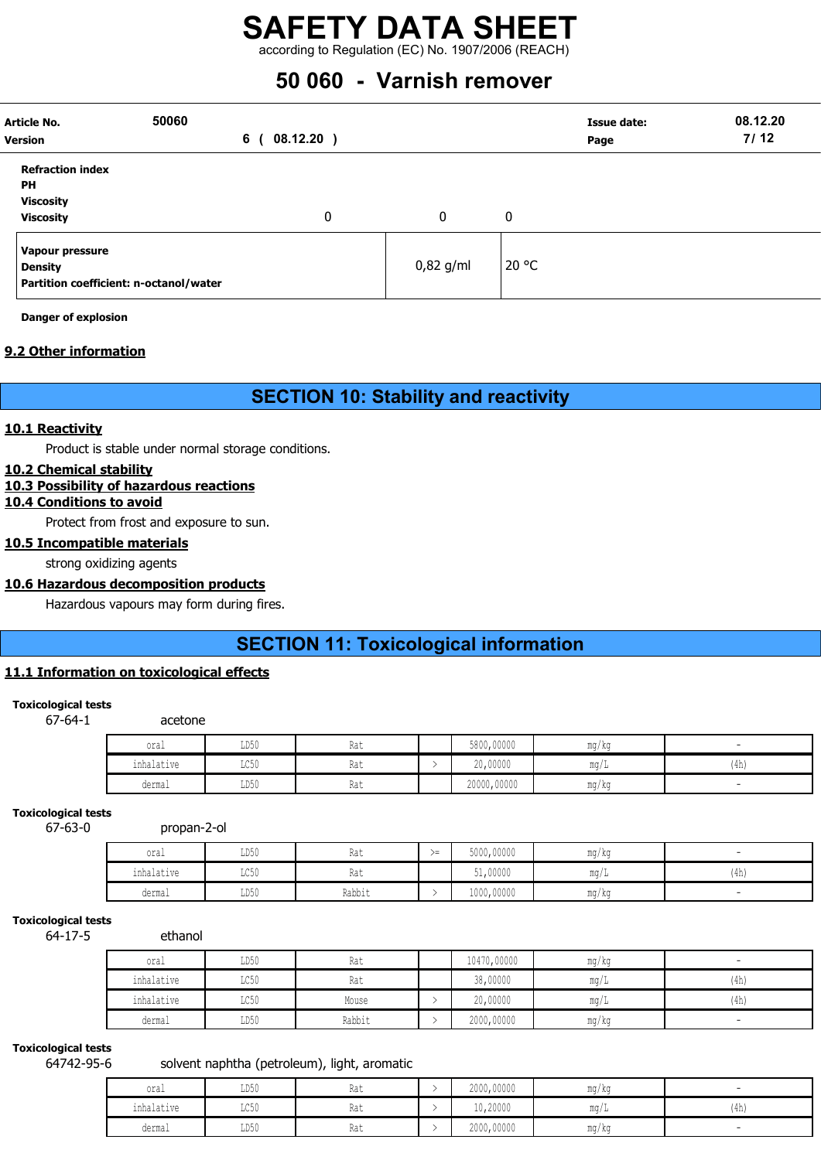according to Regulation (EC) No. 1907/2006 (REACH)

## 50 060 - Varnish remover

| <b>Version</b> | <b>Article No.</b>                                                          | 50060<br>6 | 08.12.20) |             |       | <b>Issue date:</b><br>Page | 08.12.20<br>7/12 |
|----------------|-----------------------------------------------------------------------------|------------|-----------|-------------|-------|----------------------------|------------------|
| PН             | <b>Refraction index</b><br><b>Viscosity</b><br><b>Viscosity</b>             |            | 0         | 0           | 0     |                            |                  |
|                | Vapour pressure<br><b>Density</b><br>Partition coefficient: n-octanol/water |            |           | $0,82$ g/ml | 20 °C |                            |                  |

Danger of explosion

## 9.2 Other information

## SECTION 10: Stability and reactivity

## 10.1 Reactivity

Product is stable under normal storage conditions.

## 10.2 Chemical stability

## 10.3 Possibility of hazardous reactions

## 10.4 Conditions to avoid

Protect from frost and exposure to sun.

## 10.5 Incompatible materials

strong oxidizing agents

## 10.6 Hazardous decomposition products

Hazardous vapours may form during fires.

## SECTION 11: Toxicological information

## 11.1 Information on toxicological effects

## Toxicological tests

67-64-1 acetone

| oral            | LD50                    | Rat | 5800,00000  | mg/kg     |      |
|-----------------|-------------------------|-----|-------------|-----------|------|
| .<br>inhalative | $T \cap E \cap$<br>∟∪∪⊔ | Rat | 20,00000    | .<br>mq/L | (4h) |
| dermal          | LD50                    | Rat | 20000,00000 | ma/ka     |      |

## Toxicological tests

67-63-0 propan-2-ol

| oral                                      | LD50               | $1 - 4$<br>.na l | ╲ —<br>$\sum$ | 5000,00000 | $m \sim$<br>ma / ka      |      |
|-------------------------------------------|--------------------|------------------|---------------|------------|--------------------------|------|
| .<br>$n \times 1 - + + + -$<br>TUUQTQLIVE | $T \cap E$<br>コンソリ | na i             |               | 51,00000   | $m \alpha$<br><b>TIM</b> | (4h) |
| dermal                                    | LD50               | Rabbit           |               | 1000,00000 | <b>MA ALL</b><br>ma / ka |      |

## Toxicological tests

64-17-5 ethanol

| oral       | LD50 | Rat    | 10470,00000 | mg/kg | $\overline{\phantom{0}}$ |
|------------|------|--------|-------------|-------|--------------------------|
| inhalative | LC50 | Rat    | 38,00000    | mq/L  | (4h)                     |
| inhalative | LC50 | Mouse  | 20,00000    | mq/L  | (4h)                     |
| dermal     | LD50 | Rabbit | 2000,00000  | mg/kg | $\sim$                   |

## Toxicological tests

## 64742-95-6 solvent naphtha (petroleum), light, aromatic

| oral       | LD50                    | Rat | 2000,00000 | mg/kg               |      |
|------------|-------------------------|-----|------------|---------------------|------|
| inhalative | $T \cap E \cap$<br>せいりり | Rat | 10,20000   | $m \alpha$<br>111 J | (4h) |
| dermal     | LD50                    | Rat | 2000,00000 | mq/kg               |      |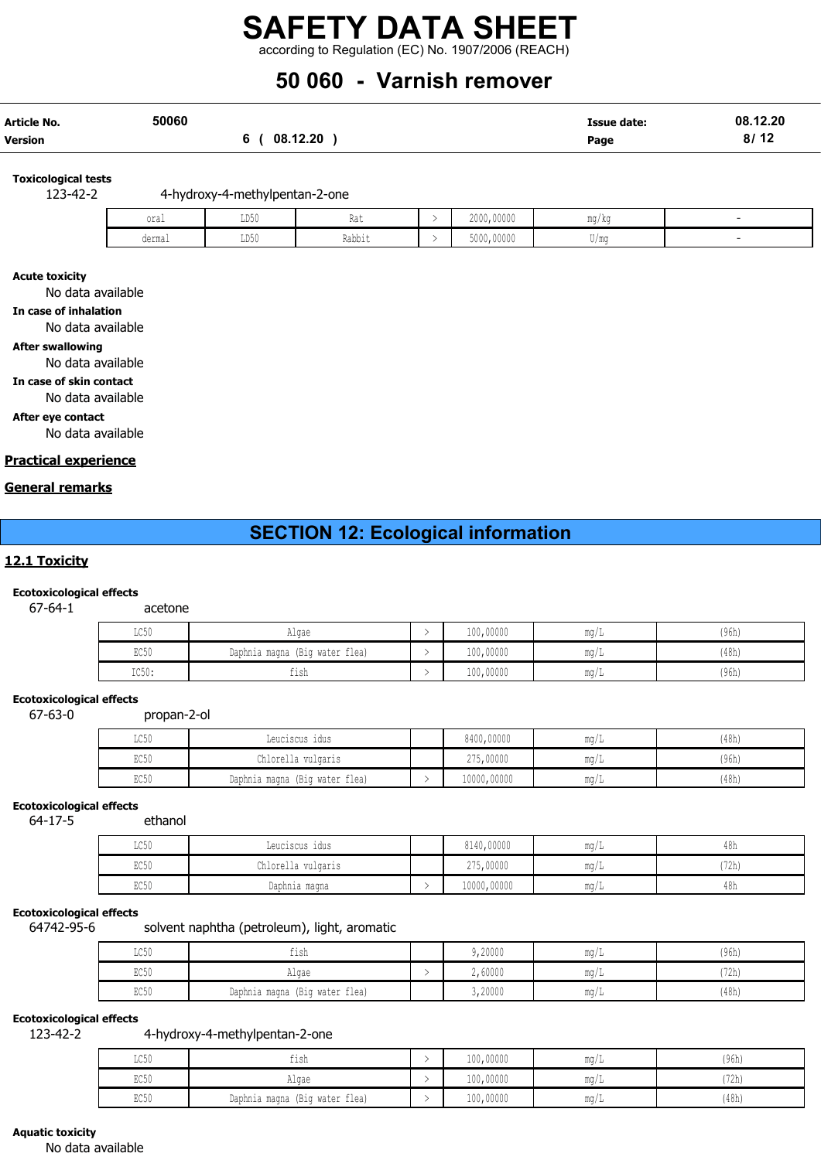according to Regulation (EC) No. 1907/2006 (REACH)

## 50 060 - Varnish remover

| Article No. | 50060 |               | <b>Issue date:</b> | 08.12.20 |
|-------------|-------|---------------|--------------------|----------|
| Version     |       | 08.12.20<br>6 | Page               | 8/12     |

Toxicological tests

123-42-2 4-hydroxy-4-methylpentan-2-one

| oral   | LD50 | De.<br>Kdl  | 2000,00000 | mg/kg                        |  |
|--------|------|-------------|------------|------------------------------|--|
| dermal | LD50 | .<br>Rabbit | 5000,00000 | /m<br>$\cup$ , $\cup$ $\cup$ |  |

#### Acute toxicity

No data available

In case of inhalation

No data available

## After swallowing

No data available

In case of skin contact

No data available

After eye contact No data available

Practical experience

## General remarks

## SECTION 12: Ecological information

## 12.1 Toxicity

## Ecotoxicological effects

67-64-1 acetone

| LC50  | Algae                          | 100,00000 | mq/L | (96h) |
|-------|--------------------------------|-----------|------|-------|
| EC50  | Daphnia magna (Big water flea) | 100,00000 | mq/L | (48h) |
| IC50: | $-1$<br>tısh                   | 100,00000 | mq/L | (96h) |

## Ecotoxicological effects

67-63-0 propan-2-ol

| LC50 | Leuciscus idus                    | 8400,00000  | ma/L | (48h) |
|------|-----------------------------------|-------------|------|-------|
| EC50 | Chlorella vulgaris                | 275,00000   | mq/L | (96h) |
| EC50 | (Big water flea)<br>Daphnia magna | 10000,00000 | mq/L | (48h) |

## Ecotoxicological effects

64-17-5 ethanol

| $T \cap E \cap$<br>⊥∪∪∪ | Leuciscus idus     | 8140,00000  | $\text{max}/$ | 4011 |
|-------------------------|--------------------|-------------|---------------|------|
| POLO<br><b>ECON</b>     | Chlorella vulgaris | 275,00000   | $m\alpha$     | 472h |
| EC50                    | Daphnia magna      | 10000,00000 | $m\alpha$     | 40N  |

### Ecotoxicological effects

64742-95-6 solvent naphtha (petroleum), light, aromatic

| LC50 | tısh                           | 9,20000 | $m \alpha$<br>- 111.U / T           | (96h) |
|------|--------------------------------|---------|-------------------------------------|-------|
| EC50 | Algae                          | 2,60000 | $m \sim$<br>- III. 1                | (72h) |
| EC50 | Daphnia magna (Big water flea) | 3,20000 | $m \alpha$<br>- 1114 / <del>1</del> | (48h) |

## Ecotoxicological effects

123-42-2 4-hydroxy-4-methylpentan-2-one

| LC50 | fish                              | 100,00000 | $m \sim$<br>111.VII J | (96h) |
|------|-----------------------------------|-----------|-----------------------|-------|
| EC50 | Algae                             | 100,00000 | $m \sim$<br>111.U / J | (72h) |
| EC50 | (Big water flea)<br>Daphnia magna | 100,00000 | $m \sim$<br>111.U / J | (48h) |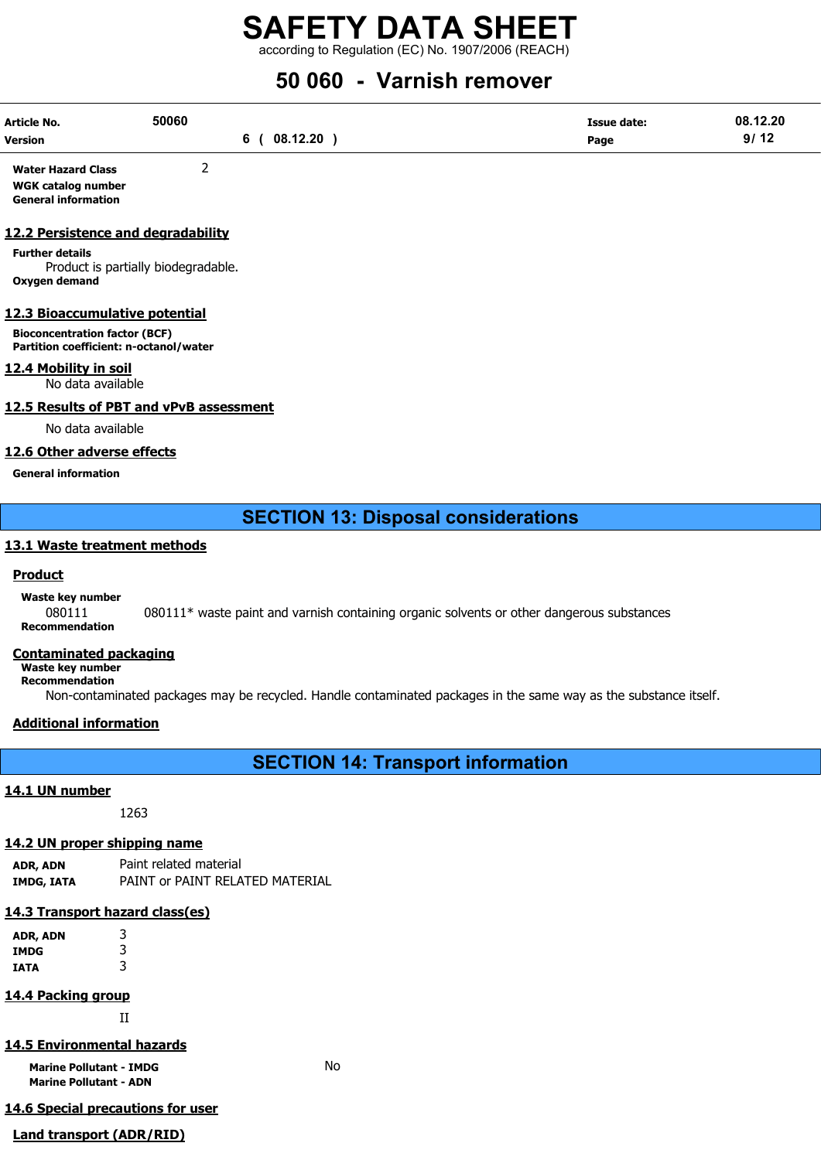according to Regulation (EC) No. 1907/2006 (REACH)

## 50 060 - Varnish remover

| Article No.    | 50060    | Issue date: | 08.12.20                                 |
|----------------|----------|-------------|------------------------------------------|
| <b>Version</b> | 08.12.20 | Page        | $\sqrt{2}$<br>$\mathbf{a}$<br>- 14<br>ופ |

Water Hazard Class 2 WGK catalog number General information

## 12.2 Persistence and degradability

Further details Product is partially biodegradable. Oxygen demand

## 12.3 Bioaccumulative potential

Bioconcentration factor (BCF) Partition coefficient: n-octanol/water

## 12.4 Mobility in soil

No data available

## 12.5 Results of PBT and vPvB assessment

No data available

## 12.6 Other adverse effects

General information

## SECTION 13: Disposal considerations

## 13.1 Waste treatment methods

## **Product**

Waste key number

080111 080111\* waste paint and varnish containing organic solvents or other dangerous substances Recommendation

## Contaminated packaging

Waste key number Recommendation

Non-contaminated packages may be recycled. Handle contaminated packages in the same way as the substance itself.

## Additional information

SECTION 14: Transport information

## 14.1 UN number

1263

## 14.2 UN proper shipping name

ADR, ADN Paint related material IMDG, IATA PAINT or PAINT RELATED MATERIAL

## 14.3 Transport hazard class(es)

| ADR, ADN | 3 |
|----------|---|
| IMDG     | 3 |
| IATA     | 3 |

## 14.4 Packing group

II

## 14.5 Environmental hazards

Marine Pollutant - IMDG No Marine Pollutant - ADN

## 14.6 Special precautions for user

#### Land transport (ADR/RID)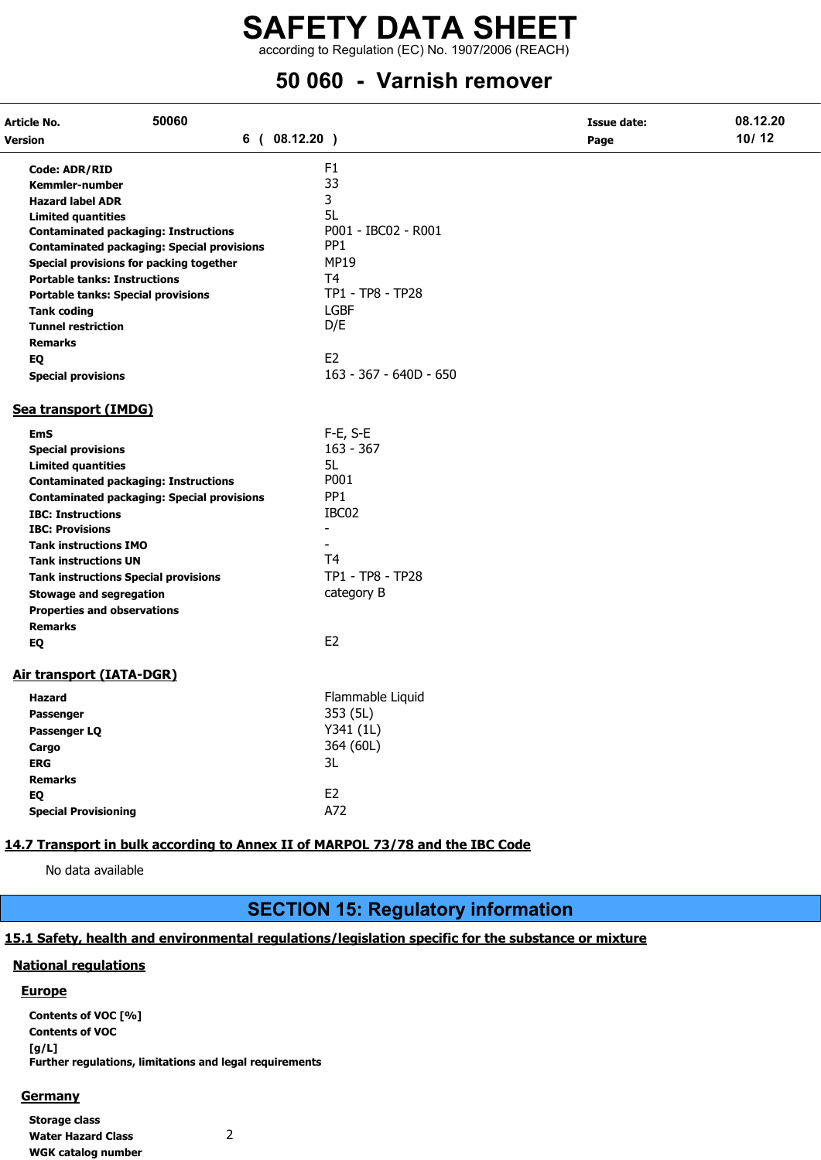according to Regulation (EC) No. 1907/2006 (REACH)

## 50 060 - Varnish remover

| 50060<br>Article No.                                                          |                        | <b>Issue date:</b> | 08.12.20 |
|-------------------------------------------------------------------------------|------------------------|--------------------|----------|
| Version                                                                       | 6(08.12.20)            | Page               | 10/12    |
| <b>Code: ADR/RID</b>                                                          | F <sub>1</sub>         |                    |          |
| <b>Kemmler-number</b>                                                         | 33                     |                    |          |
| <b>Hazard label ADR</b>                                                       | 3                      |                    |          |
| <b>Limited quantities</b>                                                     | 5L                     |                    |          |
| <b>Contaminated packaging: Instructions</b>                                   | P001 - IBC02 - R001    |                    |          |
| <b>Contaminated packaging: Special provisions</b>                             | PP <sub>1</sub>        |                    |          |
| Special provisions for packing together                                       | <b>MP19</b>            |                    |          |
| <b>Portable tanks: Instructions</b>                                           | T <sub>4</sub>         |                    |          |
| <b>Portable tanks: Special provisions</b>                                     | TP1 - TP8 - TP28       |                    |          |
| <b>Tank coding</b>                                                            | <b>LGBF</b>            |                    |          |
| <b>Tunnel restriction</b>                                                     | D/E                    |                    |          |
| <b>Remarks</b>                                                                |                        |                    |          |
| EQ                                                                            | E <sub>2</sub>         |                    |          |
| <b>Special provisions</b>                                                     | 163 - 367 - 640D - 650 |                    |          |
| Sea transport (IMDG)                                                          |                        |                    |          |
| <b>EmS</b>                                                                    | $F-E$ , $S-E$          |                    |          |
| <b>Special provisions</b>                                                     | $163 - 367$            |                    |          |
| <b>Limited quantities</b>                                                     | 5L.                    |                    |          |
| <b>Contaminated packaging: Instructions</b>                                   | P001                   |                    |          |
| <b>Contaminated packaging: Special provisions</b>                             | PP <sub>1</sub>        |                    |          |
| <b>IBC: Instructions</b>                                                      | IBC02                  |                    |          |
| <b>IBC: Provisions</b>                                                        | ÷.                     |                    |          |
| <b>Tank instructions IMO</b>                                                  |                        |                    |          |
| <b>Tank instructions UN</b>                                                   | T <sub>4</sub>         |                    |          |
| <b>Tank instructions Special provisions</b>                                   | TP1 - TP8 - TP28       |                    |          |
| <b>Stowage and segregation</b>                                                | category B             |                    |          |
| <b>Properties and observations</b>                                            |                        |                    |          |
| <b>Remarks</b>                                                                |                        |                    |          |
| EQ                                                                            | E <sub>2</sub>         |                    |          |
| Air transport (IATA-DGR)                                                      |                        |                    |          |
| <b>Hazard</b>                                                                 | Flammable Liquid       |                    |          |
| <b>Passenger</b>                                                              | 353 (5L)               |                    |          |
| Passenger LQ                                                                  | Y341 (1L)              |                    |          |
| Cargo                                                                         | 364 (60L)              |                    |          |
| <b>ERG</b>                                                                    | 3L                     |                    |          |
| <b>Remarks</b>                                                                |                        |                    |          |
| EQ                                                                            | E <sub>2</sub>         |                    |          |
| <b>Special Provisioning</b>                                                   | A72                    |                    |          |
|                                                                               |                        |                    |          |
| 14.7 Transport in bulk according to Annex II of MARPOL 73/78 and the IBC Code |                        |                    |          |

No data available

## SECTION 15: Regulatory information

## 15.1 Safety, health and environmental regulations/legislation specific for the substance or mixture

## National regulations

## **Europe**

Contents of VOC [%] Contents of VOC [g/L] Further regulations, limitations and legal requirements

## **Germany**

Storage class Water Hazard Class 2 WGK catalog number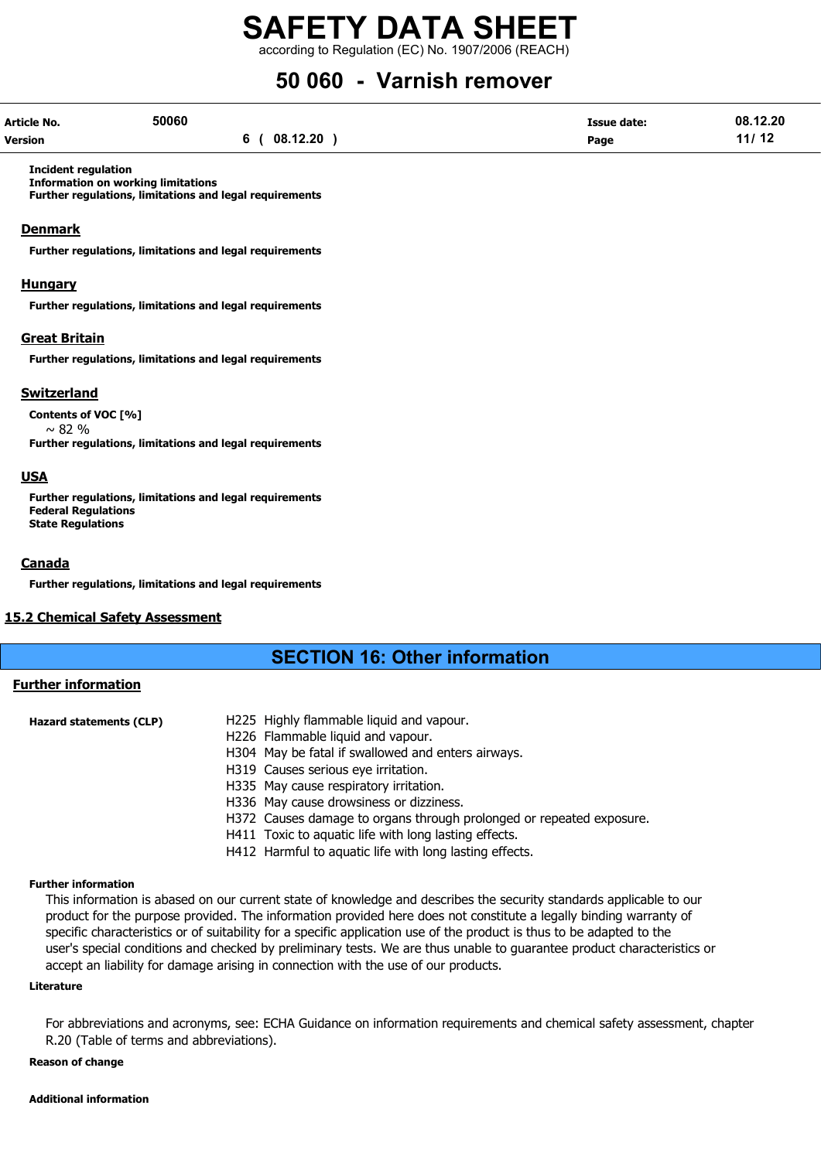according to Regulation (EC) No. 1907/2006 (REACH)

## 50 060 - Varnish remover

| Article No.    | 50060 |          | Issue date: | 08.12.20 |
|----------------|-------|----------|-------------|----------|
| <b>Version</b> |       | 08.12.20 | Page        | 11/12    |

Incident regulation

Information on working limitations Further regulations, limitations and legal requirements

## **Denmark**

Further regulations, limitations and legal requirements

## Hungary

Further regulations, limitations and legal requirements

## Great Britain

Further regulations, limitations and legal requirements

## Switzerland

Contents of VOC [%]  $~\sim$  82 %

Further regulations, limitations and legal requirements

## USA

Further regulations, limitations and legal requirements Federal Regulations State Regulations

## **Canada**

Further regulations, limitations and legal requirements

#### 15.2 Chemical Safety Assessment

## SECTION 16: Other information

## Further information

| <b>Hazard statements (CLP)</b> | H225 Highly flammable liquid and vapour.                             |
|--------------------------------|----------------------------------------------------------------------|
|                                | H226 Flammable liquid and vapour.                                    |
|                                | H304 May be fatal if swallowed and enters airways.                   |
|                                | H319 Causes serious eye irritation.                                  |
|                                | H335 May cause respiratory irritation.                               |
|                                | H336 May cause drowsiness or dizziness.                              |
|                                | H372 Causes damage to organs through prolonged or repeated exposure. |
|                                | H411 Toxic to aquatic life with long lasting effects.                |
|                                | H412 Harmful to aquatic life with long lasting effects.              |

#### Further information

This information is abased on our current state of knowledge and describes the security standards applicable to our product for the purpose provided. The information provided here does not constitute a legally binding warranty of specific characteristics or of suitability for a specific application use of the product is thus to be adapted to the user's special conditions and checked by preliminary tests. We are thus unable to guarantee product characteristics or accept an liability for damage arising in connection with the use of our products.

#### Literature

For abbreviations and acronyms, see: ECHA Guidance on information requirements and chemical safety assessment, chapter R.20 (Table of terms and abbreviations).

## Reason of change